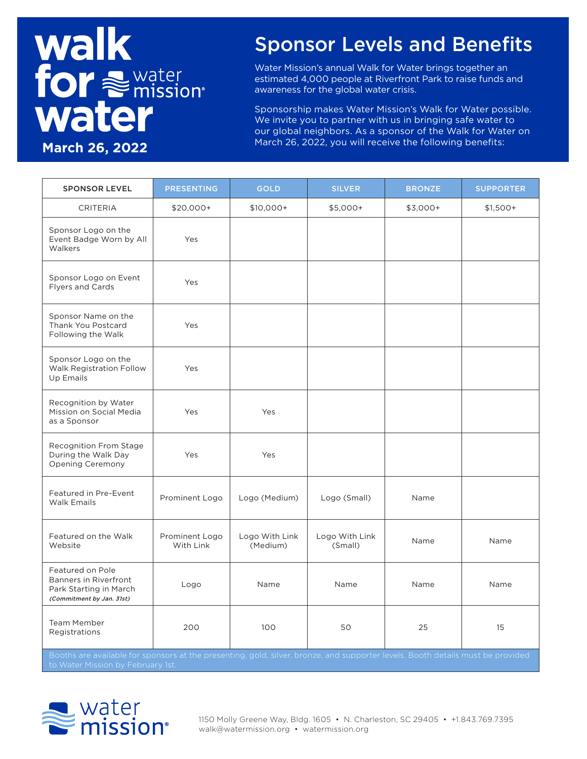# **Walk for Subsetion** water **March 26, 2022**

#### Sponsor Levels and Benefits

Water Mission's annual Walk for Water brings together an estimated 4,000 people at Riverfront Park to raise funds and awareness for the global water crisis.

Sponsorship makes Water Mission's Walk for Water possible. We invite you to partner with us in bringing safe water to our global neighbors. As a sponsor of the Walk for Water on March 26, 2022, you will receive the following benefits:

| <b>SPONSOR LEVEL</b>                                                                                    | <b>PRESENTING</b>           | <b>GOLD</b>                | <b>SILVER</b>             | <b>BRONZE</b> | <b>SUPPORTER</b> |
|---------------------------------------------------------------------------------------------------------|-----------------------------|----------------------------|---------------------------|---------------|------------------|
| <b>CRITERIA</b>                                                                                         | $$20,000+$                  | $$10,000+$                 | \$5,000+                  | $$3,000+$     | $$1,500+$        |
| Sponsor Logo on the<br>Event Badge Worn by All<br>Walkers                                               | Yes                         |                            |                           |               |                  |
| Sponsor Logo on Event<br><b>Flyers and Cards</b>                                                        | Yes                         |                            |                           |               |                  |
| Sponsor Name on the<br>Thank You Postcard<br>Following the Walk                                         | Yes                         |                            |                           |               |                  |
| Sponsor Logo on the<br><b>Walk Registration Follow</b><br>Up Emails                                     | Yes                         |                            |                           |               |                  |
| Recognition by Water<br>Mission on Social Media<br>as a Sponsor                                         | Yes                         | Yes                        |                           |               |                  |
| Recognition From Stage<br>During the Walk Day<br>Opening Ceremony                                       | Yes                         | Yes                        |                           |               |                  |
| Featured in Pre-Event<br><b>Walk Emails</b>                                                             | Prominent Logo              | Logo (Medium)              | Logo (Small)              | Name          |                  |
| Featured on the Walk<br>Website                                                                         | Prominent Logo<br>With Link | Logo With Link<br>(Medium) | Logo With Link<br>(Small) | Name          | Name             |
| Featured on Pole<br><b>Banners in Riverfront</b><br>Park Starting in March<br>(Commitment by Jan. 31st) | Logo                        | Name                       | Name                      | Name          | Name             |
| <b>Team Member</b><br>Registrations                                                                     | 200                         | 100                        | 50                        | 25            | 15               |

and supporter leve